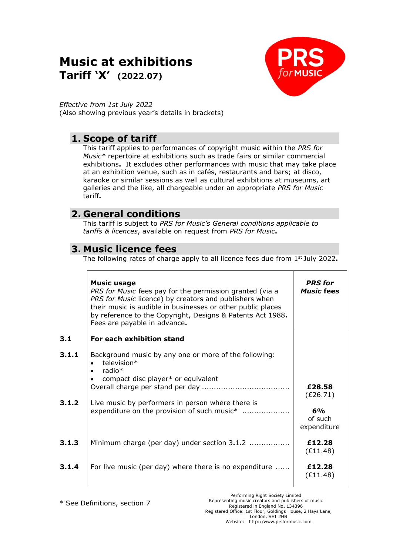# **Music at exhibitions Tariff 'X' (2022**.**07)**



*Effective from 1st July 2022* (Also showing previous year's details in brackets)

## **1. Scope of tariff**

This tariff applies to performances of copyright music within the *PRS for Music\** repertoire at exhibitions such as trade fairs or similar commercial exhibitions**.** It excludes other performances with music that may take place at an exhibition venue, such as in cafés, restaurants and bars; at disco, karaoke or similar sessions as well as cultural exhibitions at museums, art galleries and the like, all chargeable under an appropriate *PRS for Music*  tariff**.**

## **2. General conditions**

This tariff is subject to *PRS for Music's General conditions applicable to tariffs & licences*, available on request from *PRS for Music***.**

## **3. Music licence fees**

The following rates of charge apply to all licence fees due from 1 st July 2022**.**

|                | <b>Music usage</b><br>PRS for Music fees pay for the permission granted (via a<br>PRS for Music licence) by creators and publishers when<br>their music is audible in businesses or other public places<br>by reference to the Copyright, Designs & Patents Act 1988.<br>Fees are payable in advance. | <b>PRS</b> for<br><b>Music fees</b>                |
|----------------|-------------------------------------------------------------------------------------------------------------------------------------------------------------------------------------------------------------------------------------------------------------------------------------------------------|----------------------------------------------------|
| 3.1            | For each exhibition stand                                                                                                                                                                                                                                                                             |                                                    |
| 3.1.1<br>3.1.2 | Background music by any one or more of the following:<br>television*<br>radio*<br>$\bullet$<br>compact disc player* or equivalent<br>Live music by performers in person where there is<br>expenditure on the provision of such music*                                                                 | £28.58<br>(E26.71)<br>6%<br>of such<br>expenditure |
| 3.1.3          | Minimum charge (per day) under section 3.1.2                                                                                                                                                                                                                                                          | £12.28<br>(E11.48)                                 |
| 3.1.4          | For live music (per day) where there is no expenditure                                                                                                                                                                                                                                                | £12.28<br>(E11.48)                                 |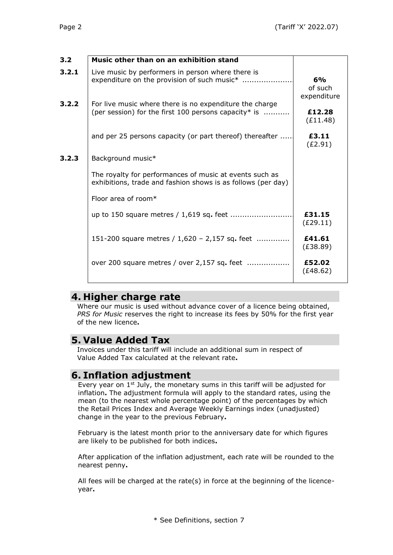| 3.2   | Music other than on an exhibition stand                                                                                  |                              |
|-------|--------------------------------------------------------------------------------------------------------------------------|------------------------------|
| 3.2.1 | Live music by performers in person where there is<br>expenditure on the provision of such music*                         | 6%<br>of such<br>expenditure |
| 3.2.2 | For live music where there is no expenditure the charge<br>(per session) for the first 100 persons capacity* is $\ldots$ | £12.28<br>(E11.48)           |
|       | and per 25 persons capacity (or part thereof) thereafter                                                                 | £3.11<br>(E2.91)             |
| 3.2.3 | Background music*                                                                                                        |                              |
|       | The royalty for performances of music at events such as<br>exhibitions, trade and fashion shows is as follows (per day)  |                              |
|       | Floor area of room $*$                                                                                                   |                              |
|       |                                                                                                                          | £31.15<br>(E29.11)           |
|       | 151-200 square metres $/ 1,620 - 2,157$ sq. feet                                                                         | £41.61<br>(E38.89)           |
|       | over 200 square metres / over 2,157 sq. feet                                                                             | £52.02<br>(E48.62)           |
|       |                                                                                                                          |                              |

### **4. Higher charge rate**

Where our music is used without advance cover of a licence being obtained, *PRS for Music* reserves the right to increase its fees by 50% for the first year of the new licence**.**

## **5. Value Added Tax**

Invoices under this tariff will include an additional sum in respect of Value Added Tax calculated at the relevant rate**.**

### **6. Inflation adjustment**

Every year on 1<sup>st</sup> July, the monetary sums in this tariff will be adjusted for inflation**.** The adjustment formula will apply to the standard rates, using the mean (to the nearest whole percentage point) of the percentages by which the Retail Prices Index and Average Weekly Earnings index (unadjusted) change in the year to the previous February**.**

February is the latest month prior to the anniversary date for which figures are likely to be published for both indices**.**

After application of the inflation adjustment, each rate will be rounded to the nearest penny**.**

All fees will be charged at the rate(s) in force at the beginning of the licenceyear**.**